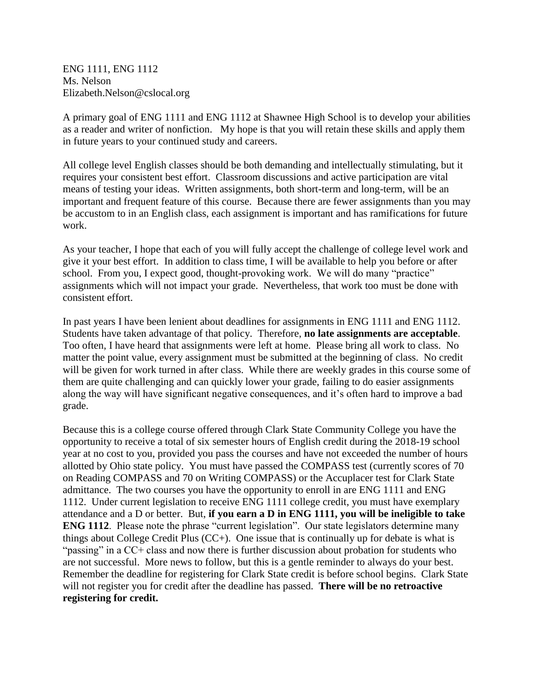ENG 1111, ENG 1112 Ms. Nelson Elizabeth.Nelson@cslocal.org

A primary goal of ENG 1111 and ENG 1112 at Shawnee High School is to develop your abilities as a reader and writer of nonfiction. My hope is that you will retain these skills and apply them in future years to your continued study and careers.

All college level English classes should be both demanding and intellectually stimulating, but it requires your consistent best effort. Classroom discussions and active participation are vital means of testing your ideas. Written assignments, both short-term and long-term, will be an important and frequent feature of this course. Because there are fewer assignments than you may be accustom to in an English class, each assignment is important and has ramifications for future work.

As your teacher, I hope that each of you will fully accept the challenge of college level work and give it your best effort. In addition to class time, I will be available to help you before or after school. From you, I expect good, thought-provoking work. We will do many "practice" assignments which will not impact your grade. Nevertheless, that work too must be done with consistent effort.

In past years I have been lenient about deadlines for assignments in ENG 1111 and ENG 1112. Students have taken advantage of that policy. Therefore, **no late assignments are acceptable**. Too often, I have heard that assignments were left at home. Please bring all work to class. No matter the point value, every assignment must be submitted at the beginning of class. No credit will be given for work turned in after class. While there are weekly grades in this course some of them are quite challenging and can quickly lower your grade, failing to do easier assignments along the way will have significant negative consequences, and it's often hard to improve a bad grade.

Because this is a college course offered through Clark State Community College you have the opportunity to receive a total of six semester hours of English credit during the 2018-19 school year at no cost to you, provided you pass the courses and have not exceeded the number of hours allotted by Ohio state policy. You must have passed the COMPASS test (currently scores of 70 on Reading COMPASS and 70 on Writing COMPASS) or the Accuplacer test for Clark State admittance. The two courses you have the opportunity to enroll in are ENG 1111 and ENG 1112. Under current legislation to receive ENG 1111 college credit, you must have exemplary attendance and a D or better. But, **if you earn a D in ENG 1111, you will be ineligible to take ENG 1112.** Please note the phrase "current legislation". Our state legislators determine many things about College Credit Plus  $(CC+)$ . One issue that is continually up for debate is what is "passing" in a CC+ class and now there is further discussion about probation for students who are not successful. More news to follow, but this is a gentle reminder to always do your best. Remember the deadline for registering for Clark State credit is before school begins. Clark State will not register you for credit after the deadline has passed. **There will be no retroactive registering for credit.**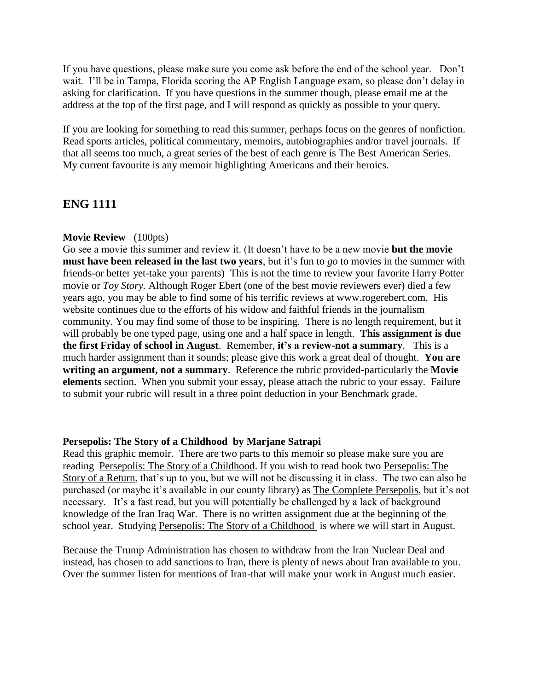If you have questions, please make sure you come ask before the end of the school year. Don't wait. I'll be in Tampa, Florida scoring the AP English Language exam, so please don't delay in asking for clarification. If you have questions in the summer though, please email me at the address at the top of the first page, and I will respond as quickly as possible to your query.

If you are looking for something to read this summer, perhaps focus on the genres of nonfiction. Read sports articles, political commentary, memoirs, autobiographies and/or travel journals. If that all seems too much, a great series of the best of each genre is The Best American Series. My current favourite is any memoir highlighting Americans and their heroics.

## **ENG 1111**

## **Movie Review** (100pts)

Go see a movie this summer and review it. (It doesn't have to be a new movie **but the movie must have been released in the last two years**, but it's fun to *go* to movies in the summer with friends-or better yet-take your parents) This is not the time to review your favorite Harry Potter movie or *Toy Story.* Although Roger Ebert (one of the best movie reviewers ever) died a few years ago, you may be able to find some of his terrific reviews at www.rogerebert.com. His website continues due to the efforts of his widow and faithful friends in the journalism community. You may find some of those to be inspiring. There is no length requirement, but it will probably be one typed page, using one and a half space in length. **This assignment is due the first Friday of school in August**. Remember, **it's a review-not a summary**. This is a much harder assignment than it sounds; please give this work a great deal of thought. **You are writing an argument, not a summary**. Reference the rubric provided-particularly the **Movie elements** section. When you submit your essay, please attach the rubric to your essay. Failure to submit your rubric will result in a three point deduction in your Benchmark grade.

## **Persepolis: The Story of a Childhood by Marjane Satrapi**

Read this graphic memoir. There are two parts to this memoir so please make sure you are reading Persepolis: The Story of a Childhood. If you wish to read book two Persepolis: The Story of a Return, that's up to you, but we will not be discussing it in class. The two can also be purchased (or maybe it's available in our county library) as The Complete Persepolis, but it's not necessary. It's a fast read, but you will potentially be challenged by a lack of background knowledge of the Iran Iraq War. There is no written assignment due at the beginning of the school year. Studying Persepolis: The Story of a Childhood is where we will start in August.

Because the Trump Administration has chosen to withdraw from the Iran Nuclear Deal and instead, has chosen to add sanctions to Iran, there is plenty of news about Iran available to you. Over the summer listen for mentions of Iran-that will make your work in August much easier.